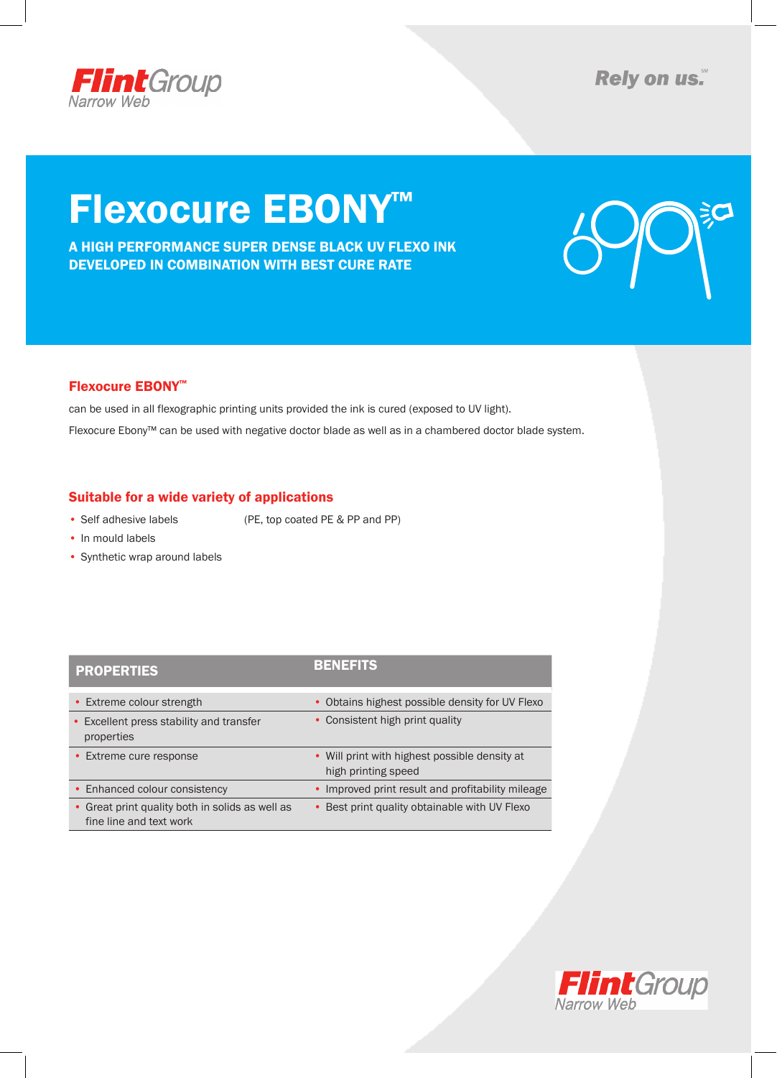

**Rely on us.** 

# Flexocure EBONY™

A HIGH PERFORMANCE SUPER DENSE BLACK UV FLEXO INK DEVELOPED IN COMBINATION WITH BEST CURE RATE



### Flexocure EBONY™

can be used in all flexographic printing units provided the ink is cured (exposed to UV light). Flexocure Ebony™ can be used with negative doctor blade as well as in a chambered doctor blade system.

### Suitable for a wide variety of applications

• Self adhesive labels (PE, top coated PE & PP and PP)

- In mould labels
- Synthetic wrap around labels

| <b>PROPERTIES</b>                                                          | <b>BENEFITS</b>                                                      |
|----------------------------------------------------------------------------|----------------------------------------------------------------------|
| • Extreme colour strength                                                  | • Obtains highest possible density for UV Flexo                      |
| • Excellent press stability and transfer<br>properties                     | • Consistent high print quality                                      |
| • Extreme cure response                                                    | • Will print with highest possible density at<br>high printing speed |
| • Enhanced colour consistency                                              | • Improved print result and profitability mileage                    |
| • Great print quality both in solids as well as<br>fine line and text work | • Best print quality obtainable with UV Flexo                        |